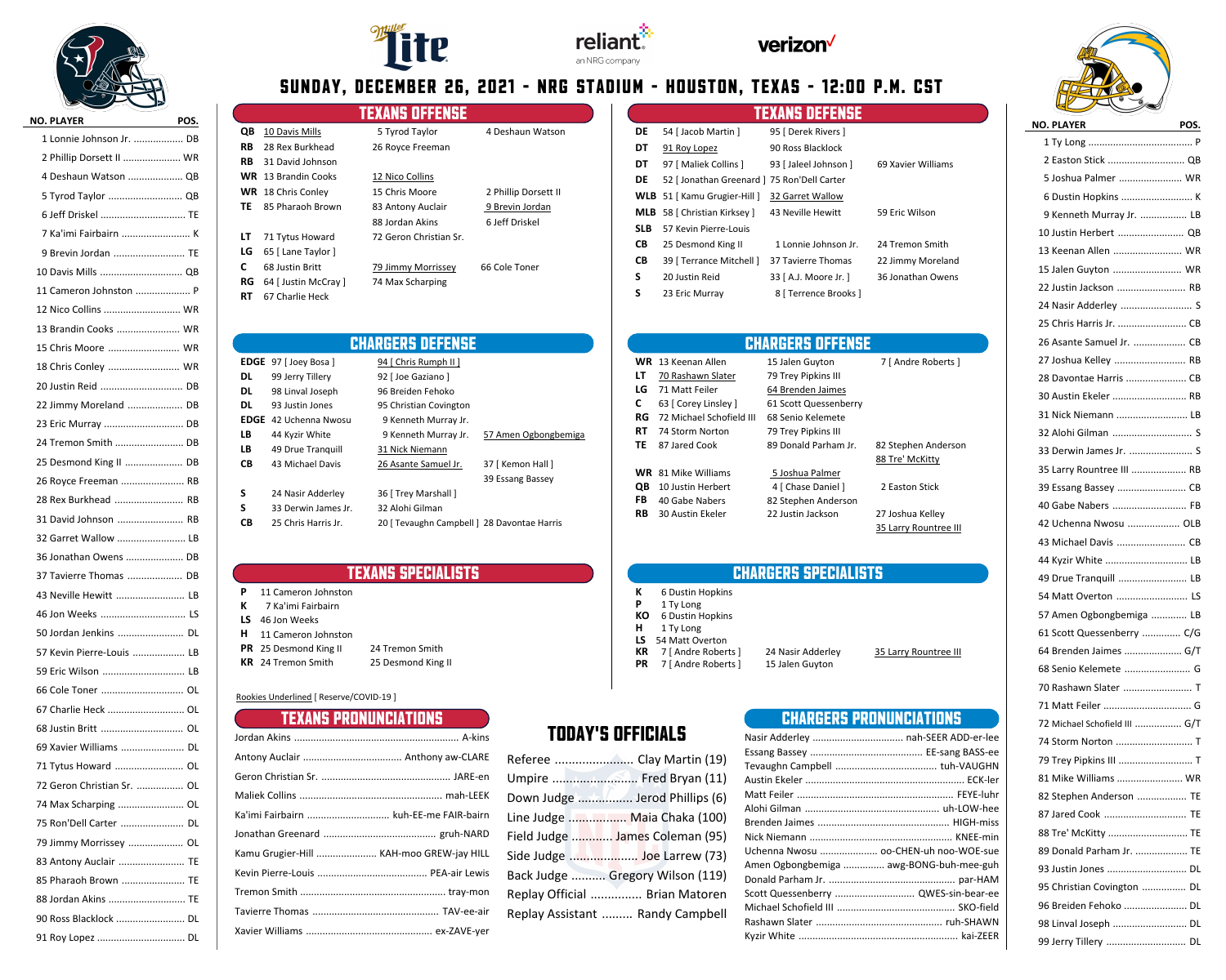

| ∾<br>$\sim$                |    |
|----------------------------|----|
| NO. PLAYER NO. POS.        |    |
| 1 Lonnie Johnson Jr.  DB   |    |
| 2 Phillip Dorsett II  WR   |    |
| 4 Deshaun Watson  QB       |    |
| 5 Tyrod Taylor  QB         |    |
| 6 Jeff Driskel  TE         |    |
| 7 Ka'imi Fairbairn  K      |    |
| 9 Brevin Jordan  TE        |    |
| 10 Davis Mills  QB         |    |
| 11 Cameron Johnston  P     |    |
| 12 Nico Collins  WR        |    |
| 13 Brandin Cooks  WR       |    |
| 15 Chris Moore  WR         |    |
| 18 Chris Conley  WR        |    |
| 20 Justin Reid  DB         |    |
| 22 Jimmy Moreland  DB      |    |
| 23 Eric Murray  DB         |    |
| 24 Tremon Smith  DB        |    |
| 25 Desmond King II  DB     |    |
| 26 Royce Freeman  RB       |    |
| 28 Rex Burkhead  RB        |    |
| 31 David Johnson  RB       |    |
| 32 Garret Wallow  LB       |    |
| 36 Jonathan Owens  DB      |    |
| 37 Tavierre Thomas  DB     |    |
| 43 Neville Hewitt  LB      |    |
| 46 Jon Weeks  LS           |    |
| 50 Jordan Jenkins  DL      |    |
| 57 Kevin Pierre-Louis  LB  |    |
| 59 Eric Wilson  LB         |    |
| 66 Cole Toner  OL          |    |
| 67 Charlie Heck  OL        |    |
|                            |    |
| 69 Xavier Williams         | DL |
| 71 Tytus Howard  OL        |    |
| 72 Geron Christian Sr.  OL |    |
| 74 Max Scharping  OL       |    |
| 75 Ron'Dell Carter         | DL |
| 79 Jimmy Morrissey         | OL |
| 83 Antony Auclair  TE      |    |
| 85 Pharaoh Brown  TE       |    |
| 88 Jordan Akins  TE        |    |
| 90 Ross Blacklock  DL      |    |
| 91 Roy Lopez  DL           |    |







# **SUNDAY, DECEMBER 26, 2021 - NRG STADIUM - HOUSTON, TEXAS - 12:00 P.M. CST**

|     |                            | Texans offense         |                      |
|-----|----------------------------|------------------------|----------------------|
| QB  | 10 Davis Mills             | 5 Tyrod Taylor         | 4 Deshaun Watson     |
| RB  | 28 Rex Burkhead            | 26 Royce Freeman       |                      |
| RB  | 31 David Johnson           |                        |                      |
|     | <b>WR</b> 13 Brandin Cooks | 12 Nico Collins        |                      |
|     | <b>WR</b> 18 Chris Conley  | 15 Chris Moore         | 2 Phillip Dorsett II |
| TF. | 85 Pharaoh Brown           | 83 Antony Auclair      | 9 Brevin Jordan      |
|     |                            | 88 Jordan Akins        | 6 Jeff Driskel       |
| LΤ  | 71 Tytus Howard            | 72 Geron Christian Sr. |                      |
| LG  | 65 [ Lane Taylor ]         |                        |                      |
| C   | 68 Justin Britt            | 79 Jimmy Morrissey     | 66 Cole Toner        |
| RG  | 64 [ Justin McCray ]       | 74 Max Scharping       |                      |
| RT  | 67 Charlie Heck            |                        |                      |

|     |                                             | <b>TEXANS DEFENSE</b> |                    |
|-----|---------------------------------------------|-----------------------|--------------------|
| DE  | 54 [ Jacob Martin ]                         | 95   Derek Rivers ]   |                    |
| DT  | 91 Roy Lopez                                | 90 Ross Blacklock     |                    |
| DT  | 97 [ Maliek Collins ]                       | 93 [ Jaleel Johnson ] | 69 Xavier Williams |
| DE  | 52   Jonathan Greenard   75 Ron'Dell Carter |                       |                    |
|     | <b>WLB</b> 51 [ Kamu Grugier-Hill ]         | 32 Garret Wallow      |                    |
|     | <b>MLB</b> 58 [ Christian Kirksey ]         | 43 Neville Hewitt     | 59 Eric Wilson     |
| SLB | 57 Kevin Pierre-Louis                       |                       |                    |
| CВ  | 25 Desmond King II                          | 1 Lonnie Johnson Ir.  | 24 Tremon Smith    |
| CВ  | 39 [ Terrance Mitchell ]                    | 37 Tavierre Thomas    | 22 Jimmy Moreland  |
| S   | 20 Justin Reid                              | 33 [ A.J. Moore Jr. ] | 36 Jonathan Owens  |
| S   | 23 Eric Murray                              | 8   Terrence Brooks   |                    |

### **CHARGERS DEFENSE EDGE** 97 [ Joey Bosa ] 94 [ Chris Rumph II ] **DL** 99 Jerry Tillery 92 [ Joe Gaziano ] **DL** 98 Linval Joseph 96 Breiden Fehoko **DL** 93 Justin Jones 95 Christian Covington **EDGE** 42 Uchenna Nwosu 9 Kenneth Murray Jr. LB 44 Kyzir White 9 Kenneth Murray Jr. 57 Amen Ogbongbemiga LB 49 Drue Tranquill 31 Nick Niemann **CB** 43 Michael Davis 26 Asante Samuel Jr. 37 [ Kemon Hall ] 39 Essang Bassey **S** 24 Nasir Adderley 36 [ Trey Marshall ] **S** 33 Derwin James Jr. 32 Alohi Gilman **CB** 25 Chris Harris Jr. 20 [ Tevaughn Campbell ] 28 Davontae Harris

### **TEXANS SPECIALISTS**

| <b>P</b> 11 Cameron Johnston |                    |
|------------------------------|--------------------|
| <b>K</b> 7 Ka'imi Fairbairn  |                    |
| LS 46 Jon Weeks              |                    |
| <b>H</b> 11 Cameron Johnston |                    |
| <b>PR</b> 25 Desmond King II | 24 Tremon Smith    |
| <b>KR</b> 24 Tremon Smith    | 25 Desmond King II |
|                              |                    |

### Rookies Underlined [ Reserve/COVID-19 ]

| Contractor<br><b>TEXANS PRONUNCIATIONS</b> |
|--------------------------------------------|
|                                            |
|                                            |
|                                            |
|                                            |
| Ka'imi Fairbairn  kuh-EE-me FAIR-bairn     |
|                                            |
| Kamu Grugier-Hill  KAH-moo GREW-jay HILL   |
|                                            |
|                                            |
|                                            |
|                                            |

## **TODAY'S OFFICIALS**

| Referee  Clay Martin (19)        |
|----------------------------------|
|                                  |
|                                  |
| Line Judge  Maia Chaka (100)     |
| Field Judge  James Coleman (95)  |
|                                  |
| Back Judge  Gregory Wilson (119) |
| Replay Official  Brian Matoren   |
| Replay Assistant  Randy Campbell |

# **CHARGERS OFFENSE**

|    | WR 13 Keenan Allen         | 15 Jalen Guyton       | 7 [ Andre Roberts ]   |
|----|----------------------------|-----------------------|-----------------------|
| LΤ | 70 Rashawn Slater          | 79 Trey Pipkins III   |                       |
| LG | 71 Matt Feiler             | 64 Brenden Jaimes     |                       |
| C. | 63 [ Corey Linsley ]       | 61 Scott Quessenberry |                       |
| RG | 72 Michael Schofield III   | 68 Senio Kelemete     |                       |
| RT | 74 Storm Norton            | 79 Trey Pipkins III   |                       |
| TE | 87 Jared Cook              | 89 Donald Parham Jr.  | 82 Stephen Anderson   |
|    |                            |                       | 88 Tre' McKitty       |
|    | <b>WR</b> 81 Mike Williams | 5 Joshua Palmer       |                       |
| QΒ | 10 Justin Herbert          | 4 [ Chase Daniel ]    | 2 Easton Stick        |
| FB | 40 Gabe Nabers             | 82 Stephen Anderson   |                       |
| RB | 30 Austin Ekeler           | 22 Justin Jackson     | 27 Joshua Kelley      |
|    |                            |                       | 35 Larry Rountree III |

### **CHARGERS SPECIALISTS**

| к  | 6 Dustin Hopkins    |    |
|----|---------------------|----|
| P  | 1 Ty Long           |    |
| КO | 6 Dustin Hopkins    |    |
| н  | 1 Ty Long           |    |
| LS | 54 Matt Overton     |    |
| КR | 7 [ Andre Roberts ] | 24 |

| <b>LS</b> 54 Matt Overton     |                   |                       |
|-------------------------------|-------------------|-----------------------|
| <b>KR</b> 7 [ Andre Roberts ] | 24 Nasir Adderley | 35 Larry Rountree III |
| <b>PR</b> 7 [ Andre Roberts ] | 15 Jalen Guyton   |                       |

### **CHARGERS PRONUNCIATIONS**

| Nasir Adderley  nah-SEER ADD-er-lee     |  |
|-----------------------------------------|--|
|                                         |  |
|                                         |  |
|                                         |  |
|                                         |  |
|                                         |  |
|                                         |  |
|                                         |  |
| Uchenna Nwosu  oo-CHEN-uh noo-WOE-sue   |  |
| Amen Ogbongbemiga  awg-BONG-buh-mee-guh |  |
|                                         |  |
| Scott Quessenberry  QWES-sin-bear-ee    |  |
|                                         |  |
|                                         |  |
|                                         |  |



1 Ty Long P ......................................

| 2 Easton Stick  QB            |   |
|-------------------------------|---|
| 5 Joshua Palmer  WR           |   |
|                               |   |
| 9 Kenneth Murray Jr.  LB      |   |
| 10 Justin Herbert  QB         |   |
| 13 Keenan Allen  WR           |   |
| 15 Jalen Guyton  WR           |   |
| 22 Justin Jackson  RB         |   |
| 24 Nasir Adderley  S          |   |
| 25 Chris Harris Jr.  CB       |   |
| 26 Asante Samuel Jr.  CB      |   |
| 27 Joshua Kelley  RB          |   |
| 28 Davontae Harris  CB        |   |
| 30 Austin Ekeler  RB          |   |
| 31 Nick Niemann  LB           |   |
| 32 Alohi Gilman  S            |   |
| 33 Derwin James Jr.  S        |   |
| 35 Larry Rountree III  RB     |   |
| 39 Essang Bassey  CB          |   |
| 40 Gabe Nabers  FB            |   |
| 42 Uchenna Nwosu  OLB         |   |
| 43 Michael Davis  CB          |   |
| 44 Kyzir White  LB            |   |
| 49 Drue Tranquill  LB         |   |
| 54 Matt Overton  LS           |   |
| 57 Amen Ogbongbemiga  LB      |   |
| 61 Scott Quessenberry  C/G    |   |
| 64 Brenden Jaimes  G/T        |   |
| 68 Senio Kelemete  G          |   |
| 70 Rashawn Slater  T          |   |
| 71 Matt Feiler  G             |   |
| 72 Michael Schofield III  G/T |   |
| 74 Storm Norton  T            |   |
| 79 Trey Pipkins III           | т |
| 81 Mike Williams  WR          |   |
| 82 Stephen Anderson  TE       |   |
| 87 Jared Cook  TE             |   |
| 88 Tre' McKitty  TE           |   |
| 89 Donald Parham Jr.  TE      |   |
| 93 Justin Jones  DL           |   |
| 95 Christian Covington  DL    |   |
| 96 Breiden Fehoko  DL         |   |
| 98 Linval Joseph  DL          |   |
| 99 Jerry Tillery  DL          |   |
|                               |   |